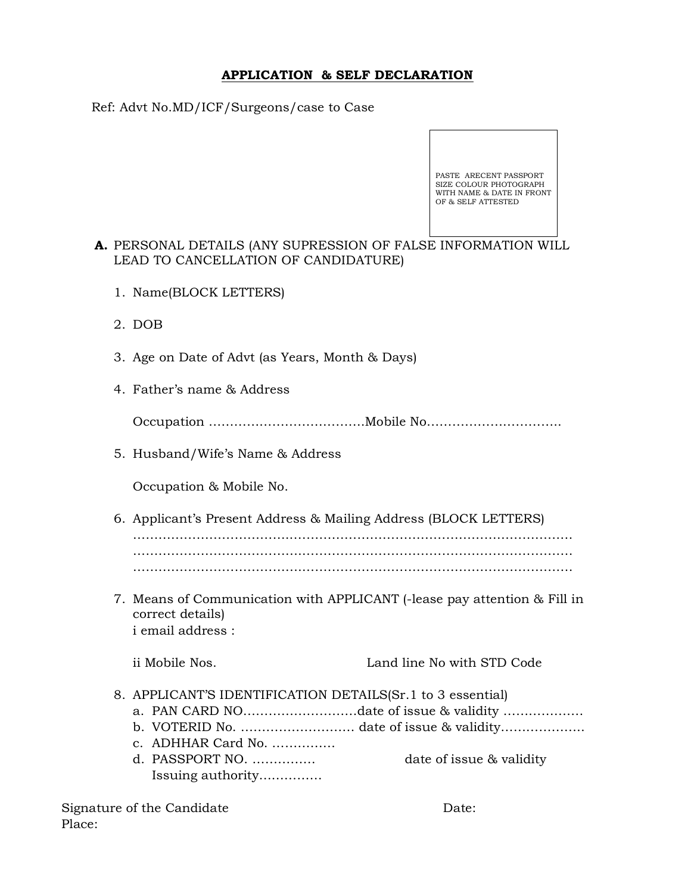#### APPLICATION & SELF DECLARATION

Ref: Advt No.MD/ICF/Surgeons/case to Case



### A. PERSONAL DETAILS (ANY SUPRESSION OF FALSE INFORMATION WILL LEAD TO CANCELLATION OF CANDIDATURE)

- 1. Name(BLOCK LETTERS)
- 2. DOB
- 3. Age on Date of Advt (as Years, Month & Days)
- 4. Father's name & Address

Occupation ……………………………….Mobile No…………………………..

5. Husband/Wife's Name & Address

Occupation & Mobile No.

- 6. Applicant's Present Address & Mailing Address (BLOCK LETTERS) ………………………………..………………………………………………………… ………………………………….………………………………………………………. ………………………………….……………………………………………………….
- 7. Means of Communication with APPLICANT (-lease pay attention & Fill in correct details) i email address :

ii Mobile Nos. Land line No with STD Code

- 8. APPLICANT'S IDENTIFICATION DETAILS(Sr.1 to 3 essential)
	- a. PAN CARD NO………………………date of issue & validity ……………….
	- b. VOTERID No. ……………………… date of issue & validity………………..
	- c. ADHHAR Card No. ……………
	- d. PASSPORT NO. …………… date of issue & validity Issuing authority……………

Signature of the Candidate Date: Place: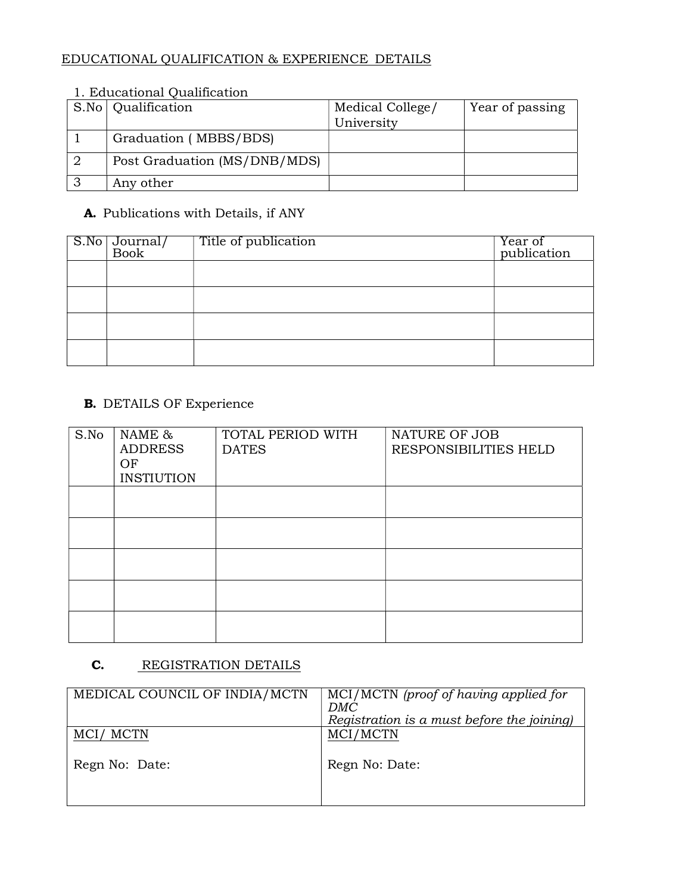# EDUCATIONAL QUALIFICATION & EXPERIENCE DETAILS

## 1. Educational Qualification

|          | S.No   Qualification         | Medical College/ | Year of passing |
|----------|------------------------------|------------------|-----------------|
|          |                              | University       |                 |
|          | Graduation (MBBS/BDS)        |                  |                 |
|          | Post Graduation (MS/DNB/MDS) |                  |                 |
| $\Omega$ | Any other                    |                  |                 |

## A. Publications with Details, if ANY

| $\sqrt{\frac{\text{S.No}}{\text{Book}}}$ | Title of publication | Year of<br>publication |
|------------------------------------------|----------------------|------------------------|
|                                          |                      |                        |
|                                          |                      |                        |
|                                          |                      |                        |
|                                          |                      |                        |

## B. DETAILS OF Experience

| S.No | NAME &<br><b>ADDRESS</b><br>OF<br><b>INSTIUTION</b> | TOTAL PERIOD WITH<br><b>DATES</b> | NATURE OF JOB<br>RESPONSIBILITIES HELD |
|------|-----------------------------------------------------|-----------------------------------|----------------------------------------|
|      |                                                     |                                   |                                        |
|      |                                                     |                                   |                                        |
|      |                                                     |                                   |                                        |
|      |                                                     |                                   |                                        |
|      |                                                     |                                   |                                        |

## **C.** REGISTRATION DETAILS

| MEDICAL COUNCIL OF INDIA/MCTN | MCI/MCTN (proof of having applied for<br>DMC<br>Registration is a must before the joining) |
|-------------------------------|--------------------------------------------------------------------------------------------|
| MCI/MCTN                      | MCI/MCTN                                                                                   |
| Regn No: Date:                | Regn No: Date:                                                                             |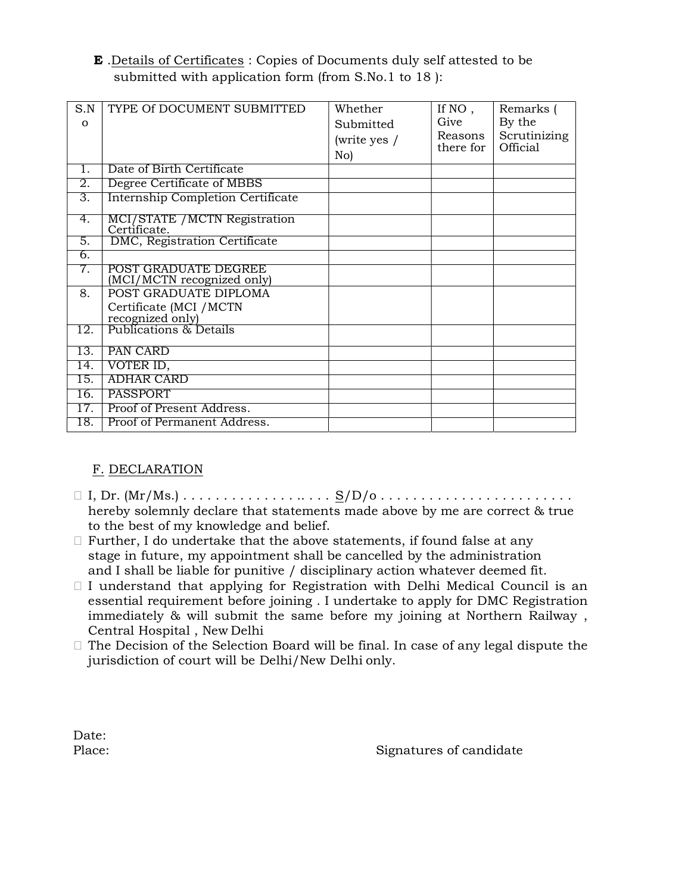E .Details of Certificates : Copies of Documents duly self attested to be submitted with application form (from S.No.1 to 18 ):

| S.N      | TYPE Of DOCUMENT SUBMITTED                         | Whether      | If NO,    | Remarks (    |
|----------|----------------------------------------------------|--------------|-----------|--------------|
| $\Omega$ |                                                    | Submitted    | Give      | By the       |
|          |                                                    | (write yes / | Reasons   | Scrutinizing |
|          |                                                    | No)          | there for | Official     |
| $1_{-}$  | Date of Birth Certificate                          |              |           |              |
| 2.       | Degree Certificate of MBBS                         |              |           |              |
| 3.       | <b>Internship Completion Certificate</b>           |              |           |              |
| 4.       | MCI/STATE / MCTN Registration<br>Certificate.      |              |           |              |
| 5.       | DMC, Registration Certificate                      |              |           |              |
| 6.       |                                                    |              |           |              |
| 7.       | POST GRADUATE DEGREE<br>(MCI/MCTN recognized only) |              |           |              |
| 8.       | POST GRADUATE DIPLOMA                              |              |           |              |
|          | Certificate (MCI /MCTN<br>recognized only)         |              |           |              |
|          | Publications & Details                             |              |           |              |
| 12.      |                                                    |              |           |              |
| 13.      | PAN CARD                                           |              |           |              |
| 14.      | VOTER ID,                                          |              |           |              |
| 15.      | <b>ADHAR CARD</b>                                  |              |           |              |
| 16.      | PASSPORT                                           |              |           |              |
| 17.      | Proof of Present Address.                          |              |           |              |
| 18.      | Proof of Permanent Address.                        |              |           |              |

### F. DECLARATION

- I, Dr. (Mr/Ms.) . . . . . . . . . . . . . . .. . . . S/D/o . . . . . . . . . . . . . . . . . . . . . . . . hereby solemnly declare that statements made above by me are correct & true to the best of my knowledge and belief.
- $\Box$  Further, I do undertake that the above statements, if found false at any stage in future, my appointment shall be cancelled by the administration and I shall be liable for punitive / disciplinary action whatever deemed fit.
- $\Box$  I understand that applying for Registration with Delhi Medical Council is an essential requirement before joining . I undertake to apply for DMC Registration immediately & will submit the same before my joining at Northern Railway , Central Hospital , New Delhi
- $\Box$  The Decision of the Selection Board will be final. In case of any legal dispute the jurisdiction of court will be Delhi/New Delhi only.

Date:

Place: Signatures of candidate